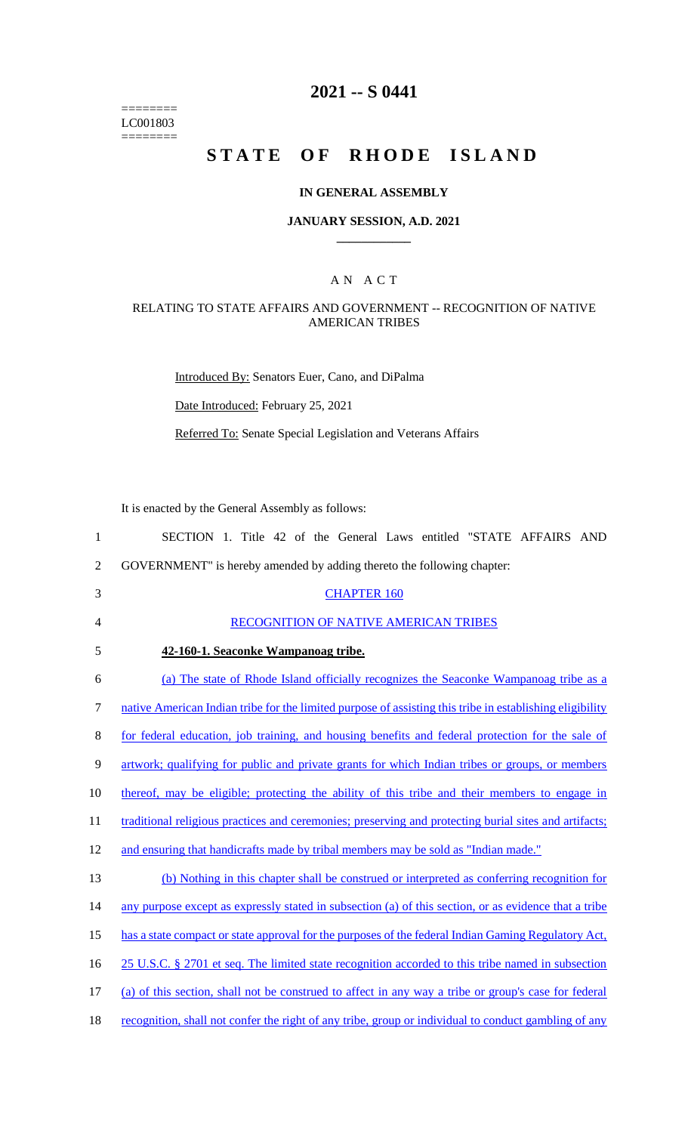======== LC001803  $=$ 

# **2021 -- S 0441**

# **STATE OF RHODE ISLAND**

## **IN GENERAL ASSEMBLY**

#### **JANUARY SESSION, A.D. 2021 \_\_\_\_\_\_\_\_\_\_\_\_**

### A N A C T

## RELATING TO STATE AFFAIRS AND GOVERNMENT -- RECOGNITION OF NATIVE AMERICAN TRIBES

Introduced By: Senators Euer, Cano, and DiPalma

Date Introduced: February 25, 2021

Referred To: Senate Special Legislation and Veterans Affairs

It is enacted by the General Assembly as follows:

| $\mathbf{1}$   | SECTION 1. Title 42 of the General Laws entitled "STATE AFFAIRS AND                                      |
|----------------|----------------------------------------------------------------------------------------------------------|
| $\overline{2}$ | GOVERNMENT" is hereby amended by adding thereto the following chapter:                                   |
| 3              | <b>CHAPTER 160</b>                                                                                       |
| $\overline{4}$ | RECOGNITION OF NATIVE AMERICAN TRIBES                                                                    |
| 5              | 42-160-1. Seaconke Wampanoag tribe.                                                                      |
| 6              | (a) The state of Rhode Island officially recognizes the Seaconke Wampanoag tribe as a                    |
| $\tau$         | native American Indian tribe for the limited purpose of assisting this tribe in establishing eligibility |
| 8              | for federal education, job training, and housing benefits and federal protection for the sale of         |
| 9              | artwork; qualifying for public and private grants for which Indian tribes or groups, or members          |
| 10             | thereof, may be eligible; protecting the ability of this tribe and their members to engage in            |
| 11             | traditional religious practices and ceremonies; preserving and protecting burial sites and artifacts;    |
| 12             | and ensuring that handicrafts made by tribal members may be sold as "Indian made."                       |
| 13             | (b) Nothing in this chapter shall be construed or interpreted as conferring recognition for              |
| 14             | any purpose except as expressly stated in subsection (a) of this section, or as evidence that a tribe    |
| 15             | has a state compact or state approval for the purposes of the federal Indian Gaming Regulatory Act,      |
| 16             | 25 U.S.C. § 2701 et seq. The limited state recognition accorded to this tribe named in subsection        |
| 17             | (a) of this section, shall not be construed to affect in any way a tribe or group's case for federal     |
| 18             | recognition, shall not confer the right of any tribe, group or individual to conduct gambling of any     |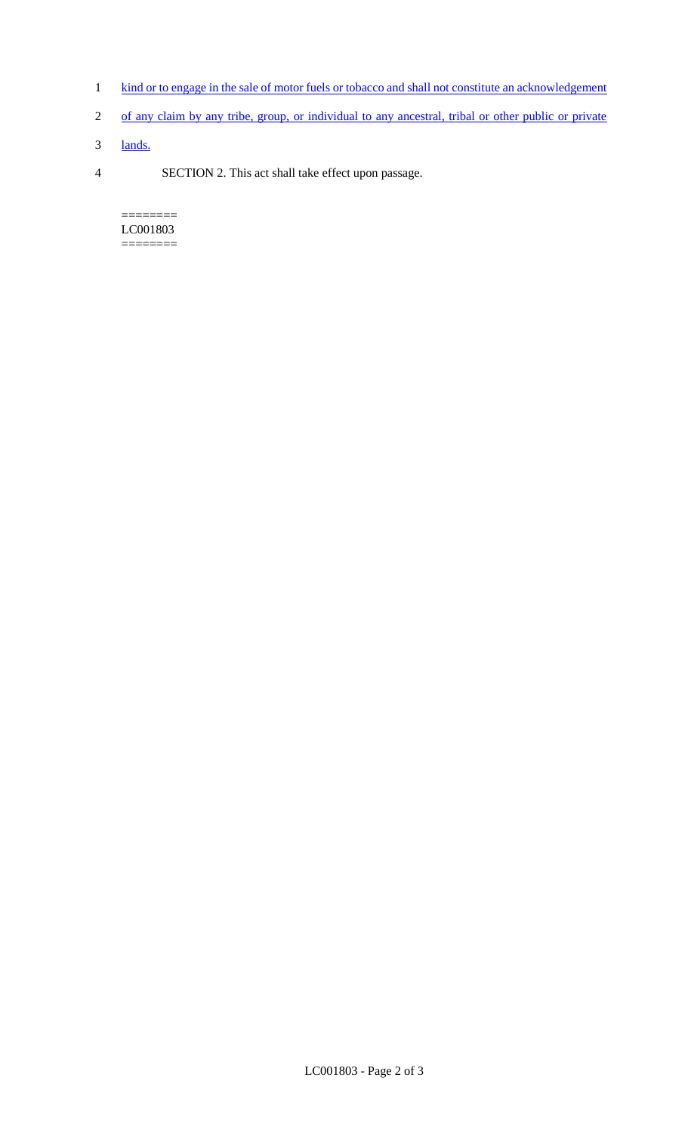- 1 kind or to engage in the sale of motor fuels or tobacco and shall not constitute an acknowledgement
- 2 of any claim by any tribe, group, or individual to any ancestral, tribal or other public or private
- 3 lands.
- 4 SECTION 2. This act shall take effect upon passage.

======== LC001803  $=$